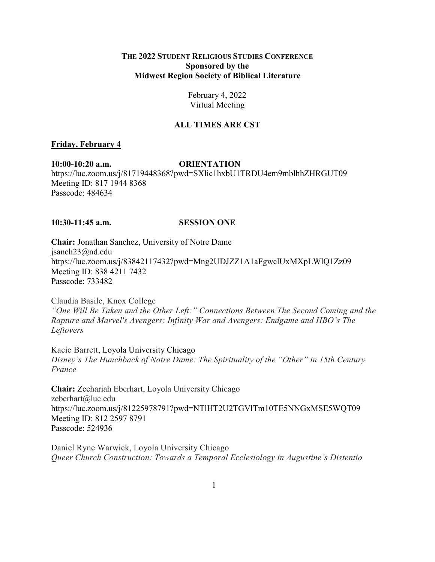## **THE 2022 STUDENT RELIGIOUS STUDIES CONFERENCE Sponsored by the Midwest Region Society of Biblical Literature**

# February 4, 2022 Virtual Meeting

# **ALL TIMES ARE CST**

## **Friday, February 4**

**10:00-10:20 a.m. ORIENTATION** https://luc.zoom.us/j/81719448368?pwd=SXlic1hxbU1TRDU4em9mblhhZHRGUT09 Meeting ID: 817 1944 8368 Passcode: 484634

## **10:30-11:45 a.m. SESSION ONE**

**Chair:** Jonathan Sanchez, University of Notre Dame jsanch23@nd.edu https://luc.zoom.us/j/83842117432?pwd=Mng2UDJZZ1A1aFgwclUxMXpLWlQ1Zz09 Meeting ID: 838 4211 7432 Passcode: 733482

Claudia Basile, Knox College *"One Will Be Taken and the Other Left:" Connections Between The Second Coming and the Rapture and Marvel's Avengers: Infinity War and Avengers: Endgame and HBO's The Leftovers*

Kacie Barrett, Loyola University Chicago *Disney's The Hunchback of Notre Dame: The Spirituality of the "Other" in 15th Century France*

**Chair:** Zechariah Eberhart, Loyola University Chicago zeberhart@luc.edu https://luc.zoom.us/j/81225978791?pwd=NTlHT2U2TGVlTm10TE5NNGxMSE5WQT09 Meeting ID: 812 2597 8791 Passcode: 524936

Daniel Ryne Warwick, Loyola University Chicago *Queer Church Construction: Towards a Temporal Ecclesiology in Augustine's Distentio*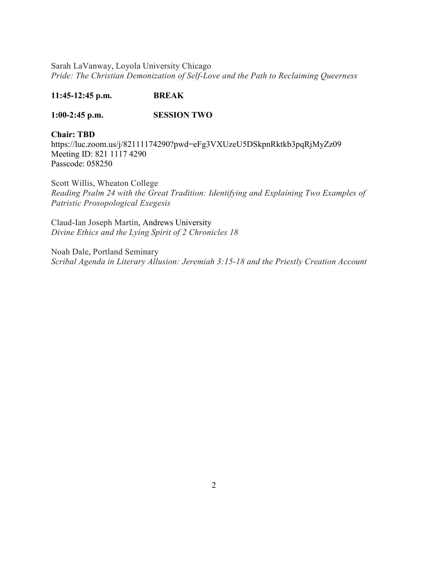Sarah LaVanway, Loyola University Chicago *Pride: The Christian Demonization of Self-Love and the Path to Reclaiming Queerness*

# **11:45-12:45 p.m. BREAK**

## **1:00-2:45 p.m. SESSION TWO**

# **Chair: TBD**

https://luc.zoom.us/j/82111174290?pwd=eFg3VXUzeU5DSkpnRktkb3pqRjMyZz09 Meeting ID: 821 1117 4290 Passcode: 058250

Scott Willis, Wheaton College *Reading Psalm 24 with the Great Tradition: Identifying and Explaining Two Examples of Patristic Prosopological Exegesis*

Claud-Ian Joseph Martin, Andrews University *Divine Ethics and the Lying Spirit of 2 Chronicles 18*

Noah Dale, Portland Seminary *Scribal Agenda in Literary Allusion: Jeremiah 3:15-18 and the Priestly Creation Account*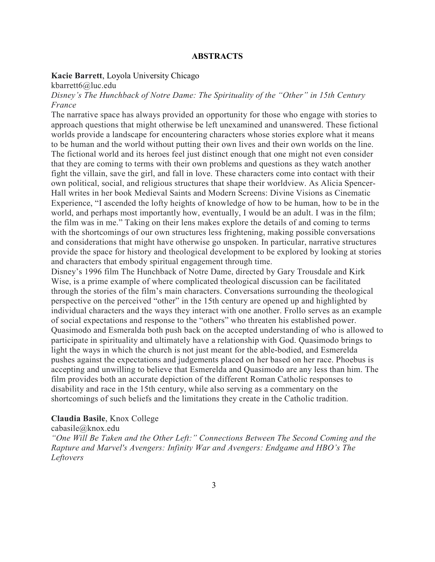## **ABSTRACTS**

## **Kacie Barrett**, Loyola University Chicago

kbarrett6@luc.edu

*Disney's The Hunchback of Notre Dame: The Spirituality of the "Other" in 15th Century France*

The narrative space has always provided an opportunity for those who engage with stories to approach questions that might otherwise be left unexamined and unanswered. These fictional worlds provide a landscape for encountering characters whose stories explore what it means to be human and the world without putting their own lives and their own worlds on the line. The fictional world and its heroes feel just distinct enough that one might not even consider that they are coming to terms with their own problems and questions as they watch another fight the villain, save the girl, and fall in love. These characters come into contact with their own political, social, and religious structures that shape their worldview. As Alicia Spencer-Hall writes in her book Medieval Saints and Modern Screens: Divine Visions as Cinematic Experience, "I ascended the lofty heights of knowledge of how to be human, how to be in the world, and perhaps most importantly how, eventually, I would be an adult. I was in the film; the film was in me." Taking on their lens makes explore the details of and coming to terms with the shortcomings of our own structures less frightening, making possible conversations and considerations that might have otherwise go unspoken. In particular, narrative structures provide the space for history and theological development to be explored by looking at stories and characters that embody spiritual engagement through time.

Disney's 1996 film The Hunchback of Notre Dame, directed by Gary Trousdale and Kirk Wise, is a prime example of where complicated theological discussion can be facilitated through the stories of the film's main characters. Conversations surrounding the theological perspective on the perceived "other" in the 15th century are opened up and highlighted by individual characters and the ways they interact with one another. Frollo serves as an example of social expectations and response to the "others" who threaten his established power. Quasimodo and Esmeralda both push back on the accepted understanding of who is allowed to participate in spirituality and ultimately have a relationship with God. Quasimodo brings to light the ways in which the church is not just meant for the able-bodied, and Esmerelda pushes against the expectations and judgements placed on her based on her race. Phoebus is accepting and unwilling to believe that Esmerelda and Quasimodo are any less than him. The film provides both an accurate depiction of the different Roman Catholic responses to disability and race in the 15th century, while also serving as a commentary on the shortcomings of such beliefs and the limitations they create in the Catholic tradition.

#### **Claudia Basile**, Knox College

cabasile@knox.edu *"One Will Be Taken and the Other Left:" Connections Between The Second Coming and the Rapture and Marvel's Avengers: Infinity War and Avengers: Endgame and HBO's The Leftovers*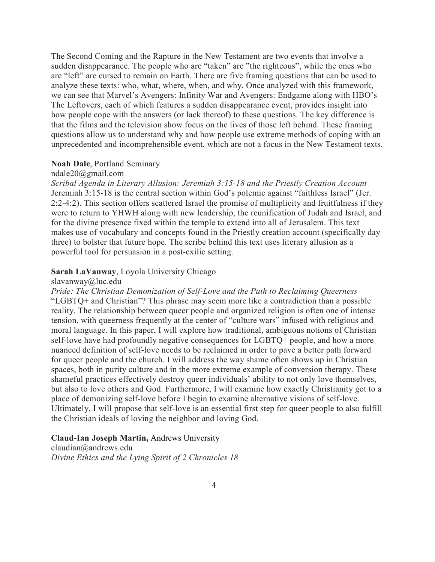The Second Coming and the Rapture in the New Testament are two events that involve a sudden disappearance. The people who are "taken" are "the righteous", while the ones who are "left" are cursed to remain on Earth. There are five framing questions that can be used to analyze these texts: who, what, where, when, and why. Once analyzed with this framework, we can see that Marvel's Avengers: Infinity War and Avengers: Endgame along with HBO's The Leftovers, each of which features a sudden disappearance event, provides insight into how people cope with the answers (or lack thereof) to these questions. The key difference is that the films and the television show focus on the lives of those left behind. These framing questions allow us to understand why and how people use extreme methods of coping with an unprecedented and incomprehensible event, which are not a focus in the New Testament texts.

## **Noah Dale**, Portland Seminary

## ndale20@gmail.com

*Scribal Agenda in Literary Allusion: Jeremiah 3:15-18 and the Priestly Creation Account* Jeremiah 3:15-18 is the central section within God's polemic against "faithless Israel" (Jer. 2:2-4:2). This section offers scattered Israel the promise of multiplicity and fruitfulness if they were to return to YHWH along with new leadership, the reunification of Judah and Israel, and for the divine presence fixed within the temple to extend into all of Jerusalem. This text makes use of vocabulary and concepts found in the Priestly creation account (specifically day three) to bolster that future hope. The scribe behind this text uses literary allusion as a powerful tool for persuasion in a post-exilic setting.

#### **Sarah LaVanway**, Loyola University Chicago

#### slavanway@luc.edu

*Pride: The Christian Demonization of Self-Love and the Path to Reclaiming Queerness* "LGBTQ+ and Christian"? This phrase may seem more like a contradiction than a possible reality. The relationship between queer people and organized religion is often one of intense tension, with queerness frequently at the center of "culture wars" infused with religious and moral language. In this paper, I will explore how traditional, ambiguous notions of Christian self-love have had profoundly negative consequences for LGBTQ+ people, and how a more nuanced definition of self-love needs to be reclaimed in order to pave a better path forward for queer people and the church. I will address the way shame often shows up in Christian spaces, both in purity culture and in the more extreme example of conversion therapy. These shameful practices effectively destroy queer individuals' ability to not only love themselves, but also to love others and God. Furthermore, I will examine how exactly Christianity got to a place of demonizing self-love before I begin to examine alternative visions of self-love. Ultimately, I will propose that self-love is an essential first step for queer people to also fulfill the Christian ideals of loving the neighbor and loving God.

## **Claud-Ian Joseph Martin,** Andrews University

claudian@andrews.edu *Divine Ethics and the Lying Spirit of 2 Chronicles 18*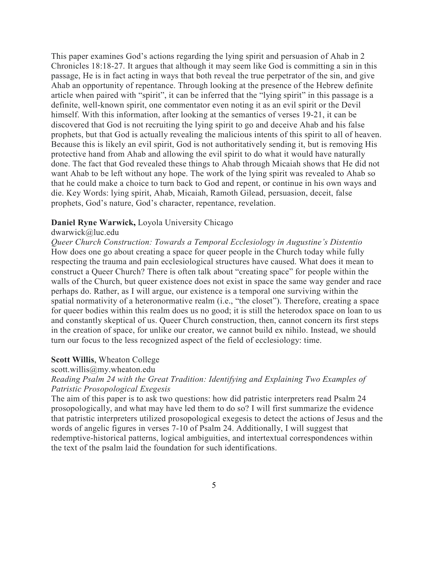This paper examines God's actions regarding the lying spirit and persuasion of Ahab in 2 Chronicles 18:18-27. It argues that although it may seem like God is committing a sin in this passage, He is in fact acting in ways that both reveal the true perpetrator of the sin, and give Ahab an opportunity of repentance. Through looking at the presence of the Hebrew definite article when paired with "spirit", it can be inferred that the "lying spirit" in this passage is a definite, well-known spirit, one commentator even noting it as an evil spirit or the Devil himself. With this information, after looking at the semantics of verses 19-21, it can be discovered that God is not recruiting the lying spirit to go and deceive Ahab and his false prophets, but that God is actually revealing the malicious intents of this spirit to all of heaven. Because this is likely an evil spirit, God is not authoritatively sending it, but is removing His protective hand from Ahab and allowing the evil spirit to do what it would have naturally done. The fact that God revealed these things to Ahab through Micaiah shows that He did not want Ahab to be left without any hope. The work of the lying spirit was revealed to Ahab so that he could make a choice to turn back to God and repent, or continue in his own ways and die. Key Words: lying spirit, Ahab, Micaiah, Ramoth Gilead, persuasion, deceit, false prophets, God's nature, God's character, repentance, revelation.

## **Daniel Ryne Warwick,** Loyola University Chicago

## dwarwick@luc.edu

*Queer Church Construction: Towards a Temporal Ecclesiology in Augustine's Distentio* How does one go about creating a space for queer people in the Church today while fully respecting the trauma and pain ecclesiological structures have caused. What does it mean to construct a Queer Church? There is often talk about "creating space" for people within the walls of the Church, but queer existence does not exist in space the same way gender and race perhaps do. Rather, as I will argue, our existence is a temporal one surviving within the spatial normativity of a heteronormative realm (i.e., "the closet"). Therefore, creating a space for queer bodies within this realm does us no good; it is still the heterodox space on loan to us and constantly skeptical of us. Queer Church construction, then, cannot concern its first steps in the creation of space, for unlike our creator, we cannot build ex nihilo. Instead, we should turn our focus to the less recognized aspect of the field of ecclesiology: time.

#### **Scott Willis**, Wheaton College

#### scott.willis@my.wheaton.edu

# *Reading Psalm 24 with the Great Tradition: Identifying and Explaining Two Examples of Patristic Prosopological Exegesis*

The aim of this paper is to ask two questions: how did patristic interpreters read Psalm 24 prosopologically, and what may have led them to do so? I will first summarize the evidence that patristic interpreters utilized prosopological exegesis to detect the actions of Jesus and the words of angelic figures in verses 7-10 of Psalm 24. Additionally, I will suggest that redemptive-historical patterns, logical ambiguities, and intertextual correspondences within the text of the psalm laid the foundation for such identifications.